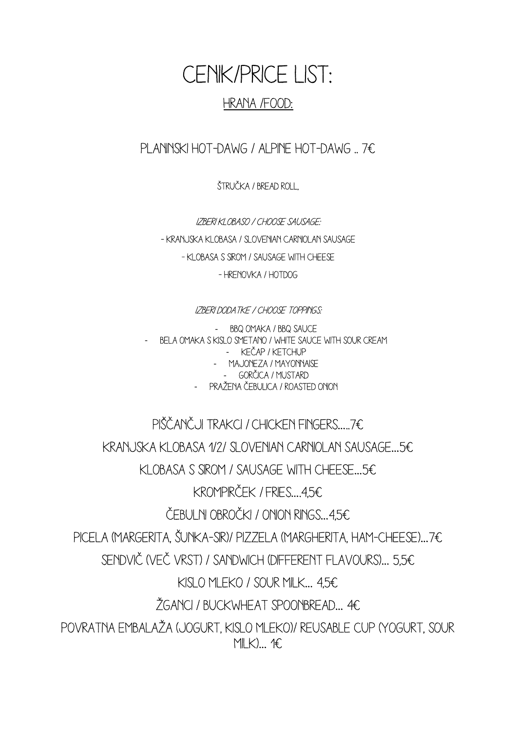## CENIK/PRICE LIST: HRANA /FOOD:

PLANINSKI HOT-DAWG / ALPINE HOT-DAWG ... 7€

Štručka / bread roll,

IZBERI KLOBASO / CHOOSE SAUSAGE: - KRANJSKA KLOBASA / SLOVENIAN CARNIOLAN SAUSAGE - klobasa s sirom / sausage with cheese - hrenovka / hotdog

## IZBERI DODATKE / CHOOSE TOPPINGS:

BBQ OMAKA / BBQ SAUCE - Bela omaka s kislo smetano / white sauce with sour cream - Kečap / ketchup - Majoneza / mayonnaise - Gorčica / mustard - Pražena čebulica / roasted onion

PIŠČANČJI TRAKCI / CHICKEN FINGERS….. 7€ Kranjska klobasa 1/2/ slovenian carniolan sausage…5€ Klobasa s sirom / sausage with cheese…5€ KROMPIRČEK / FRIES….4,5€ ČEBULNI OBROČKI / ONION RINGS…4,5€ Picela (margerita, šunka-sir)/ pizzela (margherita, ham-cheese)…7€ Sendvič (več vrst) / sandwich (different flavours)… 5,5€ KISLO MLEKO / SOUR MILK… 4,5€ Žganci / BUCKWHEAT SPOONBREAD… 4€ POVRATNA EMBALAŽA (JOGURT, KISLO MLEKO)/ REUSABLE CUP (YOGURT, SOUR  $M(K)$ … 1€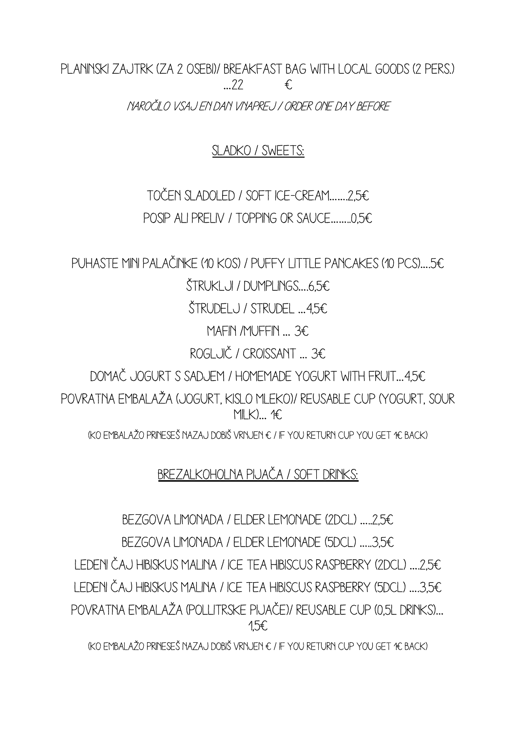PLANINSKI ZAJTRK (ZA 2 OSEBI)/ BREAKFAST BAG WITH LOCAL GOODS (2 PERS.)  $\ldots$  22  $\epsilon$ NAROČILO VSAJ EN DAN VNAPREJ / ORDER ONE DAY BEFORE

SLADKO / SWEETS:

TOČEN SLADOLED / SOFT ICE-CREAM…….2,5€ POSIP ali PRELIV / TOPPING or SAUCE……..0,5€

PUHASTE MINI PALAČINKE (10 kos) / PUFFY LITTLE PANCAKES (10 pcs)….5€

 $STRUKLJ / NMPLNGS...656$ 

ŠTRUDELJ / STRUDEL …4,5€

MAFIN /MUFFIN … 3€

ROGLJIČ / Croissant … 3€

dOMAČ JOGURT S SADJEM / HOMEMADE YOGURT WITH FRUIT…4,5€

POVRATNA EMBALAŽA (JOGURT, KISLO MLEKO)/ REUSABLE CUP (YOGURT, SOUR  $M(K)$ … 1€

(KO EMBALAŽO PRINESEŠ NAZAJ DOBIŠ VRNJEN € / IF YOU RETURN CUP YOU GET 1€ BACK)

Brezalkoholna pijača / soft drinks:

BEZGOVA LIMONADA / ELDER LEMONADE (2DCL) …..2,5€ BEZGOVA LIMONADA / ELDER LEMONADE (5DCL) …..3,5€ LEDENI ČAJ HIBISKUS MALINA / ICE TEA HIBISCUS RASPBERRY (2DCL) ….2,5€ LEDENI ČAJ HIBISKUS MALINA / ICE TEA HIBISCUS RASPBERRY (5DCL) ….3,5€ POVRATNA EMBALAŽA (POLLITRSKE PIJAČE)/ REUSABLE CUP (0,5L DRINKS)… 1,5€

(KO EMBALAŽO PRINESEŠ NAZAJ DOBIŠ VRNJEN € / IF YOU RETURN CUP YOU GET 1€ BACK)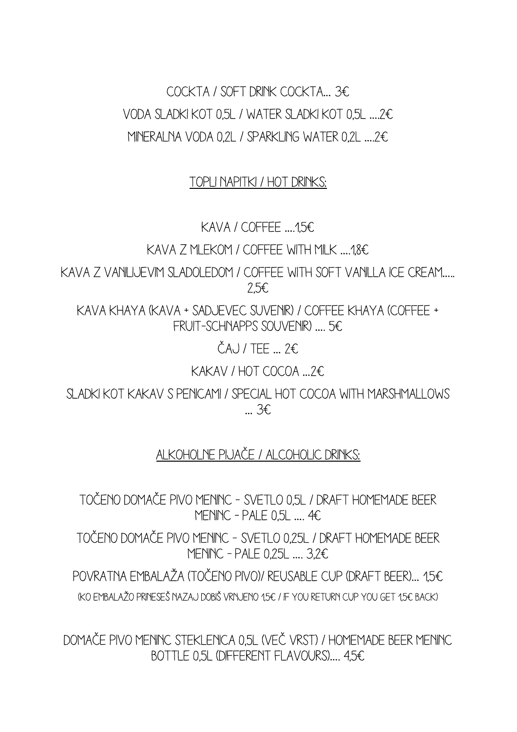Cockta / soft drink cockta… 3€ VODA SLADKI KOT 0,5L / WATER SLADKI KOT 0,5L ….2€ MINERALNA VODA 0,2l / sparkling water 0,2l ….2€

## Topli napitki / hot drinks:

KAVA / COFFEE ….1,5€

KAVA Z MLEKOM / COFFEE WITH MILK ….1,8€

KAVA Z VANILIJEVIM SLADOLEDOM / COFFEE WITH SOFT VANILLA ICE CREAM….. 2,5€

KAVA KHAYA (KAVA + SADJEVEC SUVENIR) / COFFEE KHAYA (COFFEE + FRUIT-SCHNAPPS SOUVENIR) …. 5€

 $\check{C}$ A<sub>U</sub> / TFF  $\ldots$  2€

KAKAV / HOT COCOA …2€

Sladki kot kakav s penicami / special hot cocoa with Marshmallows … 3€

## Alkoholne pijače / alcoholic drinks:

TOČENO DOMAČE PIVO MENINC – SVETLO 0,5L / DRAFT HOMEMADE BEER MENINC - PALE  $0.5L$  ...,  $4E$ 

TOČENO DOMAČE PIVO MENINC – SVETLO 0,25L / DRAFT HOMEMADE BEER MENINC - PALE 0.25L ... 3.2€

POVRATNA EMBALAŽA (TOČENO PIVO)/ REUSABLE CUP (DRAFT BEER)… 15€ (KO EMBALAŽO PRINESEŠ NAZAJ DOBIŠ VRNJENO 1,5€ / IF YOU RETURN CUP YOU GET 1,5€ BACK)

DOMAČE PIVO MENINC STEKLENICA 0,5L (VEČ VRST) / HOMEMADE BEER MENINC BOTTLE 0,5L (different flavours)…. 4,5€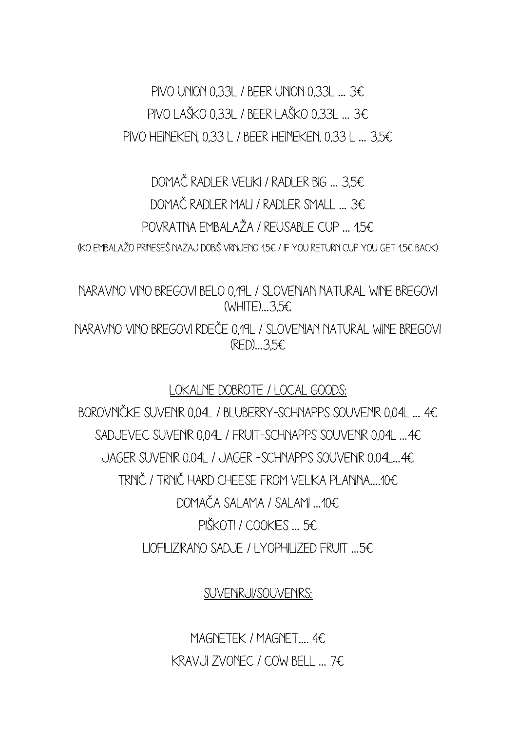PIVO UNION 0.33L / BEER UNION 0.33L  $\ldots$  3€ Pivo LAŠKO 0,33L / BEER LAŠKO 0,33L … 3€ Pivo Heineken, 0,33 l / beer Heineken, 0,33 l … 3,5€

DOMAČ RADLER VELIKI / RADLER BIG … 3,5€ DOMAČ RADLER MALI / RADLER SMALL … 3€ POVRATNA EMBALAŽA / REUSABLE CUP 15€ (KO EMBALAŽO PRINESEŠ NAZAJ DOBIŠ VRNJENO 1,5€ / IF YOU RETURN CUP YOU GET 1,5€ BACK)

NARAVNO VINO BREGOVI BELO 0,19L / SLOVENIAN NATURAL WINE BREGOVI (WHITE)…3,5€

NARAVNO VINO BREGOVI RDEČE 0,19L / SLOVENIAN NATURAL WINE BREGOVI (RED)…3,5€

LOKALNE DOBROTE / LOCAL GOODS:

BOROVNIČKE SUVENIR 0,04L / BLUBERRY-SCHNAPPS SOUVENIR 0,04L … 4€ SADJEVEC SUVENIR 0,04L / FRUIT-SCHNAPPS SOUVENIR 0,04L …4€ JAGER SUVENIR 0.04l / jAGER –SCHNAPPS SOUVENIR 0.04l…4€ TRNIČ / TRNIČ HARD CHEESE FROM VELIKA PLANINA….10€ Domača salama / salami …10€ PIŠKOTI / cookies … 5€ LIOFILIZIRANO SADJE / LYOPHILIZED FRUIT …5€

SUVENIRJI/SOUVENIRS:

MAGNETEK / MAGNET…. 4€ KRAVJI ZVONEC / COW BELL … 7€